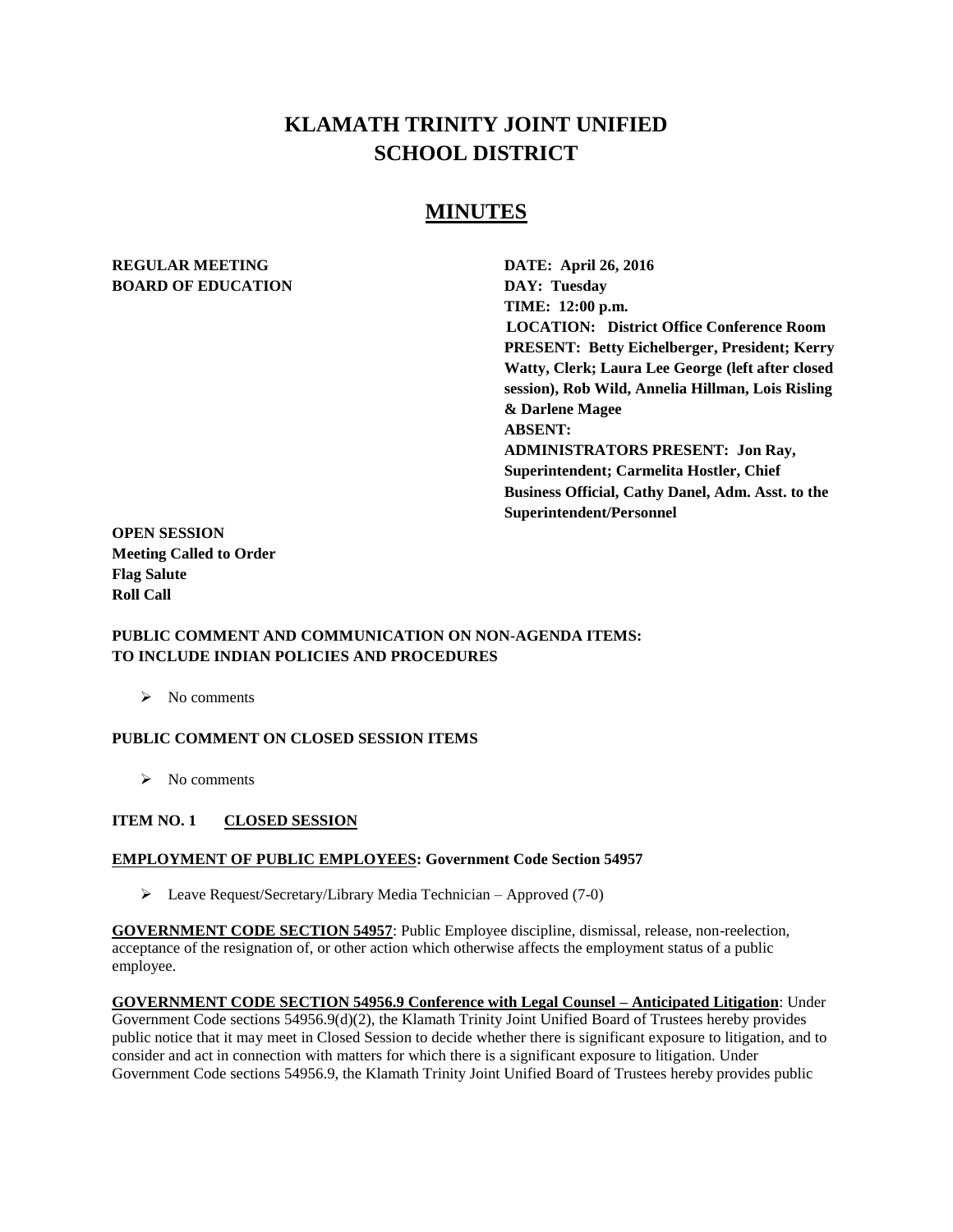# **KLAMATH TRINITY JOINT UNIFIED SCHOOL DISTRICT**

## **MINUTES**

## **REGULAR MEETING DATE: April 26, 2016 BOARD OF EDUCATION DAY: Tuesday**

**TIME: 12:00 p.m. LOCATION: District Office Conference Room PRESENT: Betty Eichelberger, President; Kerry Watty, Clerk; Laura Lee George (left after closed session), Rob Wild, Annelia Hillman, Lois Risling & Darlene Magee ABSENT: ADMINISTRATORS PRESENT: Jon Ray, Superintendent; Carmelita Hostler, Chief Business Official, Cathy Danel, Adm. Asst. to the Superintendent/Personnel** 

**OPEN SESSION Meeting Called to Order Flag Salute Roll Call**

#### **PUBLIC COMMENT AND COMMUNICATION ON NON-AGENDA ITEMS: TO INCLUDE INDIAN POLICIES AND PROCEDURES**

 $\triangleright$  No comments

#### **PUBLIC COMMENT ON CLOSED SESSION ITEMS**

 $\triangleright$  No comments

#### **ITEM NO. 1 CLOSED SESSION**

#### **EMPLOYMENT OF PUBLIC EMPLOYEES: Government Code Section 54957**

 $\triangleright$  Leave Request/Secretary/Library Media Technician – Approved (7-0)

**GOVERNMENT CODE SECTION 54957**: Public Employee discipline, dismissal, release, non-reelection, acceptance of the resignation of, or other action which otherwise affects the employment status of a public employee.

**GOVERNMENT CODE SECTION 54956.9 Conference with Legal Counsel – Anticipated Litigation**: Under Government Code sections 54956.9(d)(2), the Klamath Trinity Joint Unified Board of Trustees hereby provides public notice that it may meet in Closed Session to decide whether there is significant exposure to litigation, and to consider and act in connection with matters for which there is a significant exposure to litigation. Under Government Code sections 54956.9, the Klamath Trinity Joint Unified Board of Trustees hereby provides public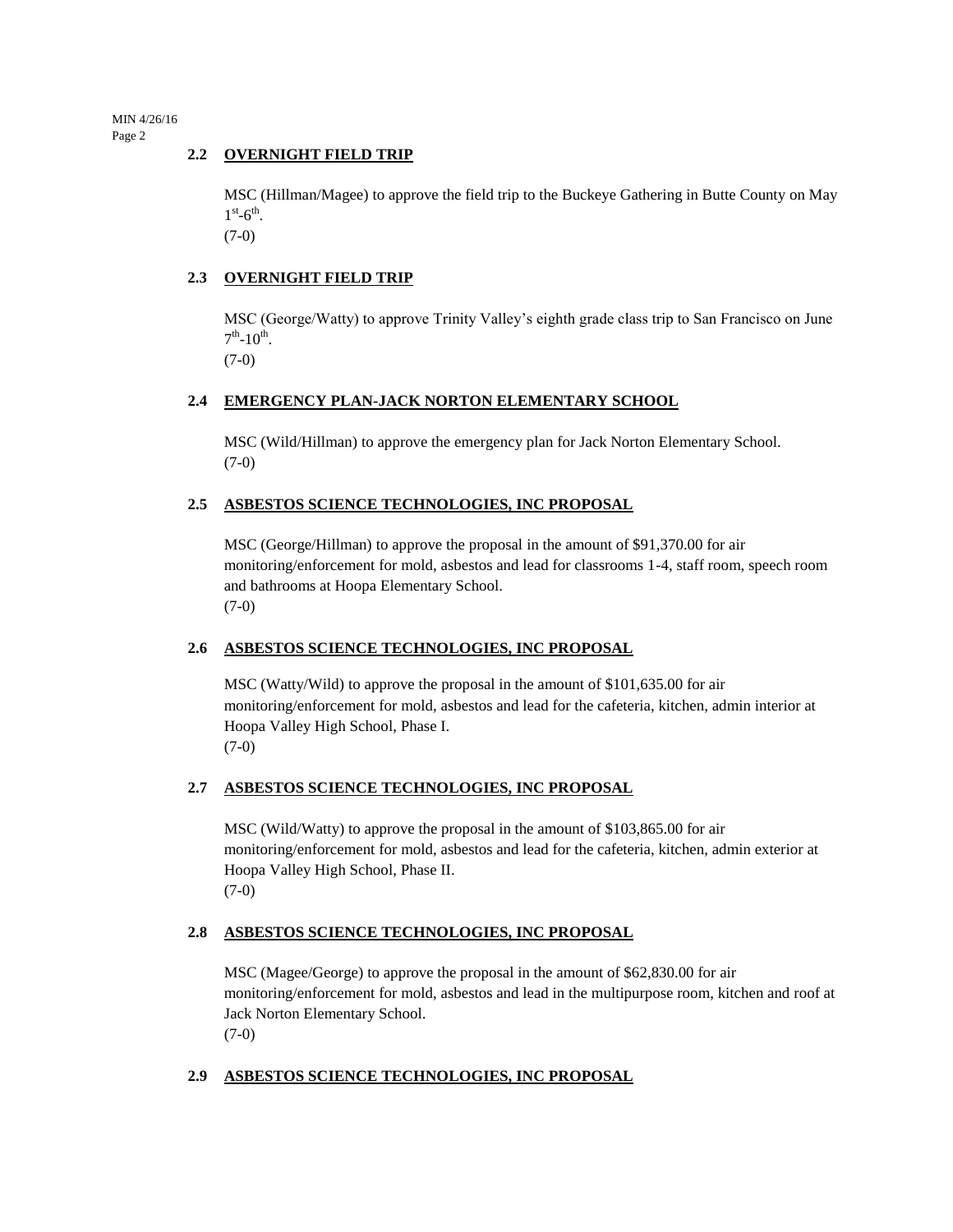MIN 4/26/16 Page 2

#### **2.2 OVERNIGHT FIELD TRIP**

MSC (Hillman/Magee) to approve the field trip to the Buckeye Gathering in Butte County on May  $1^\text{st}$ -6<sup>th</sup>.

(7-0)

#### **2.3 OVERNIGHT FIELD TRIP**

MSC (George/Watty) to approve Trinity Valley's eighth grade class trip to San Francisco on June  $7^{\text{th}}$ -10<sup>th</sup>.

(7-0)

#### **2.4 EMERGENCY PLAN-JACK NORTON ELEMENTARY SCHOOL**

MSC (Wild/Hillman) to approve the emergency plan for Jack Norton Elementary School. (7-0)

#### **2.5 ASBESTOS SCIENCE TECHNOLOGIES, INC PROPOSAL**

MSC (George/Hillman) to approve the proposal in the amount of \$91,370.00 for air monitoring/enforcement for mold, asbestos and lead for classrooms 1-4, staff room, speech room and bathrooms at Hoopa Elementary School. (7-0)

#### **2.6 ASBESTOS SCIENCE TECHNOLOGIES, INC PROPOSAL**

MSC (Watty/Wild) to approve the proposal in the amount of \$101,635.00 for air monitoring/enforcement for mold, asbestos and lead for the cafeteria, kitchen, admin interior at Hoopa Valley High School, Phase I. (7-0)

## **2.7 ASBESTOS SCIENCE TECHNOLOGIES, INC PROPOSAL**

MSC (Wild/Watty) to approve the proposal in the amount of \$103,865.00 for air monitoring/enforcement for mold, asbestos and lead for the cafeteria, kitchen, admin exterior at Hoopa Valley High School, Phase II. (7-0)

#### **2.8 ASBESTOS SCIENCE TECHNOLOGIES, INC PROPOSAL**

MSC (Magee/George) to approve the proposal in the amount of \$62,830.00 for air monitoring/enforcement for mold, asbestos and lead in the multipurpose room, kitchen and roof at Jack Norton Elementary School. (7-0)

## **2.9 ASBESTOS SCIENCE TECHNOLOGIES, INC PROPOSAL**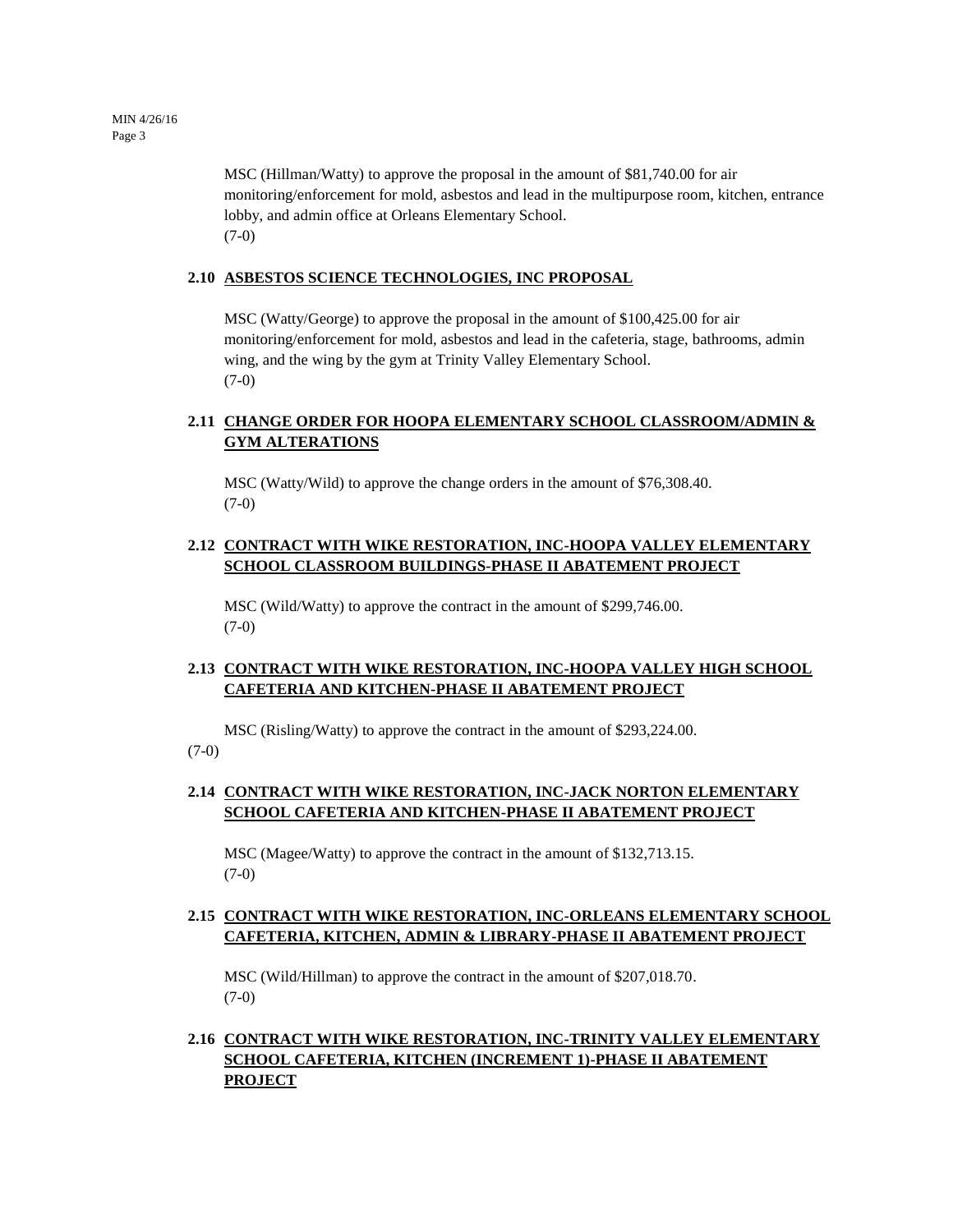MSC (Hillman/Watty) to approve the proposal in the amount of \$81,740.00 for air monitoring/enforcement for mold, asbestos and lead in the multipurpose room, kitchen, entrance lobby, and admin office at Orleans Elementary School. (7-0)

#### **2.10 ASBESTOS SCIENCE TECHNOLOGIES, INC PROPOSAL**

MSC (Watty/George) to approve the proposal in the amount of \$100,425.00 for air monitoring/enforcement for mold, asbestos and lead in the cafeteria, stage, bathrooms, admin wing, and the wing by the gym at Trinity Valley Elementary School. (7-0)

## **2.11 CHANGE ORDER FOR HOOPA ELEMENTARY SCHOOL CLASSROOM/ADMIN & GYM ALTERATIONS**

MSC (Watty/Wild) to approve the change orders in the amount of \$76,308.40. (7-0)

#### **2.12 CONTRACT WITH WIKE RESTORATION, INC-HOOPA VALLEY ELEMENTARY SCHOOL CLASSROOM BUILDINGS-PHASE II ABATEMENT PROJECT**

MSC (Wild/Watty) to approve the contract in the amount of \$299,746.00.  $(7-0)$ 

#### **2.13 CONTRACT WITH WIKE RESTORATION, INC-HOOPA VALLEY HIGH SCHOOL CAFETERIA AND KITCHEN-PHASE II ABATEMENT PROJECT**

MSC (Risling/Watty) to approve the contract in the amount of \$293,224.00.

(7-0)

## **2.14 CONTRACT WITH WIKE RESTORATION, INC-JACK NORTON ELEMENTARY SCHOOL CAFETERIA AND KITCHEN-PHASE II ABATEMENT PROJECT**

MSC (Magee/Watty) to approve the contract in the amount of \$132,713.15. (7-0)

## **2.15 CONTRACT WITH WIKE RESTORATION, INC-ORLEANS ELEMENTARY SCHOOL CAFETERIA, KITCHEN, ADMIN & LIBRARY-PHASE II ABATEMENT PROJECT**

MSC (Wild/Hillman) to approve the contract in the amount of \$207,018.70.  $(7-0)$ 

## **2.16 CONTRACT WITH WIKE RESTORATION, INC-TRINITY VALLEY ELEMENTARY SCHOOL CAFETERIA, KITCHEN (INCREMENT 1)-PHASE II ABATEMENT PROJECT**